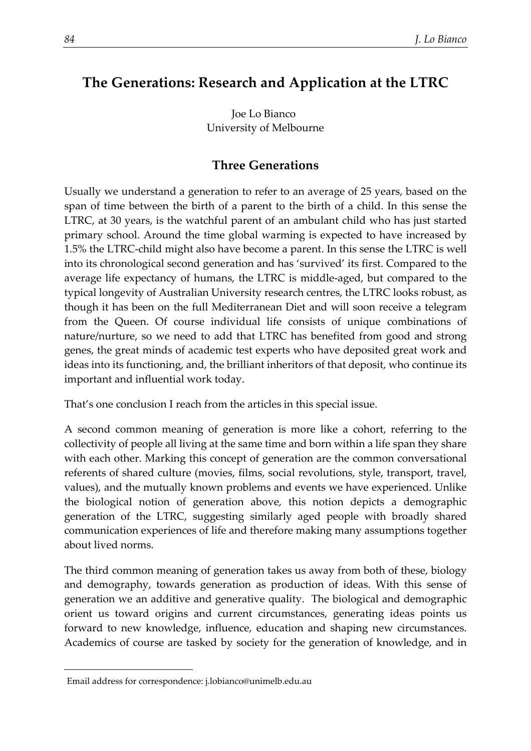# **The Generations: Research and Application at the LTRC**

Joe Lo Bianco[1](#page-0-0) University of Melbourne

## **Three Generations**

Usually we understand a generation to refer to an average of 25 years, based on the span of time between the birth of a parent to the birth of a child. In this sense the LTRC, at 30 years, is the watchful parent of an ambulant child who has just started primary school. Around the time global warming is expected to have increased by 1.5% the LTRC-child might also have become a parent. In this sense the LTRC is well into its chronological second generation and has 'survived' its first. Compared to the average life expectancy of humans, the LTRC is middle-aged, but compared to the typical longevity of Australian University research centres, the LTRC looks robust, as though it has been on the full Mediterranean Diet and will soon receive a telegram from the Queen. Of course individual life consists of unique combinations of nature/nurture, so we need to add that LTRC has benefited from good and strong genes, the great minds of academic test experts who have deposited great work and ideas into its functioning, and, the brilliant inheritors of that deposit, who continue its important and influential work today.

That's one conclusion I reach from the articles in this special issue.

A second common meaning of generation is more like a cohort, referring to the collectivity of people all living at the same time and born within a life span they share with each other. Marking this concept of generation are the common conversational referents of shared culture (movies, films, social revolutions, style, transport, travel, values), and the mutually known problems and events we have experienced. Unlike the biological notion of generation above, this notion depicts a demographic generation of the LTRC, suggesting similarly aged people with broadly shared communication experiences of life and therefore making many assumptions together about lived norms.

The third common meaning of generation takes us away from both of these, biology and demography, towards generation as production of ideas. With this sense of generation we an additive and generative quality. The biological and demographic orient us toward origins and current circumstances, generating ideas points us forward to new knowledge, influence, education and shaping new circumstances. Academics of course are tasked by society for the generation of knowledge, and in

<span id="page-0-0"></span><sup>1</sup>Email address for correspondence: j.lobianco@unimelb.edu.au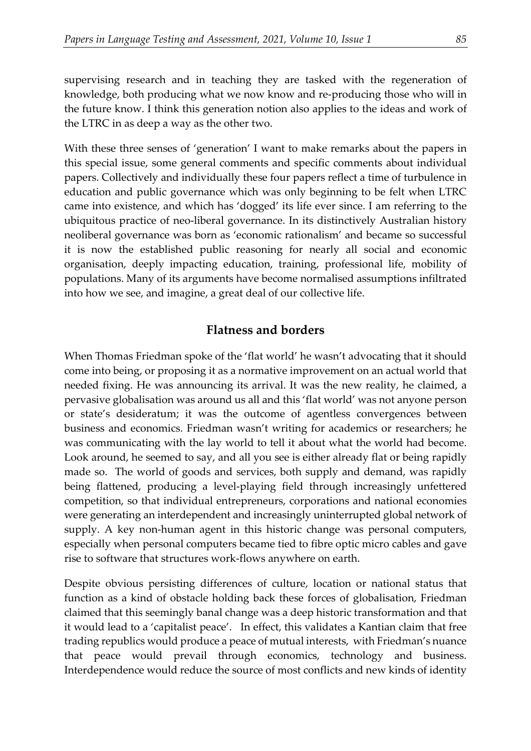supervising research and in teaching they are tasked with the regeneration of knowledge, both producing what we now know and re-producing those who will in the future know. I think this generation notion also applies to the ideas and work of the LTRC in as deep a way as the other two.

With these three senses of 'generation' I want to make remarks about the papers in this special issue, some general comments and specific comments about individual papers. Collectively and individually these four papers reflect a time of turbulence in education and public governance which was only beginning to be felt when LTRC came into existence, and which has 'dogged' its life ever since. I am referring to the ubiquitous practice of neo-liberal governance. In its distinctively Australian history neoliberal governance was born as 'economic rationalism' and became so successful it is now the established public reasoning for nearly all social and economic organisation, deeply impacting education, training, professional life, mobility of populations. Many of its arguments have become normalised assumptions infiltrated into how we see, and imagine, a great deal of our collective life.

### **Flatness and borders**

When Thomas Friedman spoke of the 'flat world' he wasn't advocating that it should come into being, or proposing it as a normative improvement on an actual world that needed fixing. He was announcing its arrival. It was the new reality, he claimed, a pervasive globalisation was around us all and this 'flat world' was not anyone person or state's desideratum; it was the outcome of agentless convergences between business and economics. Friedman wasn't writing for academics or researchers; he was communicating with the lay world to tell it about what the world had become. Look around, he seemed to say, and all you see is either already flat or being rapidly made so. The world of goods and services, both supply and demand, was rapidly being flattened, producing a level-playing field through increasingly unfettered competition, so that individual entrepreneurs, corporations and national economies were generating an interdependent and increasingly uninterrupted global network of supply. A key non-human agent in this historic change was personal computers, especially when personal computers became tied to fibre optic micro cables and gave rise to software that structures work-flows anywhere on earth.

Despite obvious persisting differences of culture, location or national status that function as a kind of obstacle holding back these forces of globalisation, Friedman claimed that this seemingly banal change was a deep historic transformation and that it would lead to a 'capitalist peace'. In effect, this validates a Kantian claim that free trading republics would produce a peace of mutual interests, with Friedman's nuance that peace would prevail through economics, technology and business. Interdependence would reduce the source of most conflicts and new kinds of identity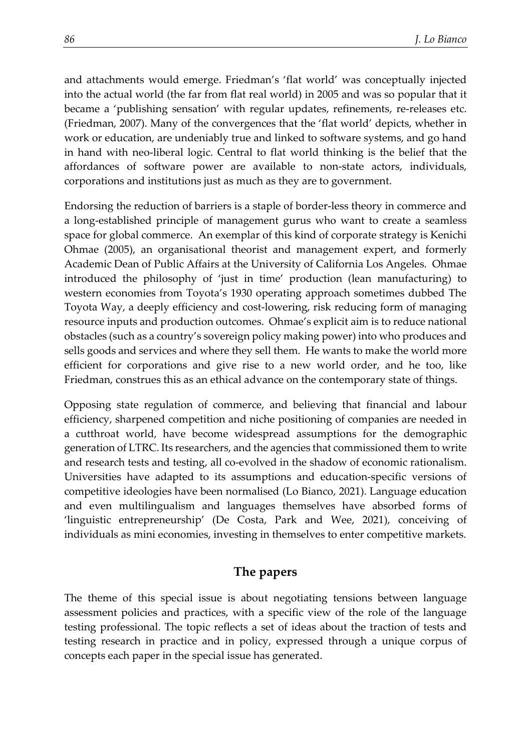and attachments would emerge. Friedman's 'flat world' was conceptually injected into the actual world (the far from flat real world) in 2005 and was so popular that it became a 'publishing sensation' with regular updates, refinements, re-releases etc. (Friedman, 2007). Many of the convergences that the 'flat world' depicts, whether in work or education, are undeniably true and linked to software systems, and go hand in hand with neo-liberal logic. Central to flat world thinking is the belief that the affordances of software power are available to non-state actors, individuals, corporations and institutions just as much as they are to government.

Endorsing the reduction of barriers is a staple of border-less theory in commerce and a long-established principle of management gurus who want to create a seamless space for global commerce. An exemplar of this kind of corporate strategy is Kenichi Ohmae (2005), an organisational theorist and management expert, and formerly Academic Dean of Public Affairs at the University of California Los Angeles. Ohmae introduced the philosophy of 'just in time' production (lean manufacturing) to western economies from Toyota's 1930 operating approach sometimes dubbed The Toyota Way, a deeply efficiency and cost-lowering, risk reducing form of managing resource inputs and production outcomes. Ohmae's explicit aim is to reduce national obstacles (such as a country's sovereign policy making power) into who produces and sells goods and services and where they sell them. He wants to make the world more efficient for corporations and give rise to a new world order, and he too, like Friedman, construes this as an ethical advance on the contemporary state of things.

Opposing state regulation of commerce, and believing that financial and labour efficiency, sharpened competition and niche positioning of companies are needed in a cutthroat world, have become widespread assumptions for the demographic generation of LTRC. Its researchers, and the agencies that commissioned them to write and research tests and testing, all co-evolved in the shadow of economic rationalism. Universities have adapted to its assumptions and education-specific versions of competitive ideologies have been normalised (Lo Bianco, 2021). Language education and even multilingualism and languages themselves have absorbed forms of 'linguistic entrepreneurship' (De Costa, Park and Wee, 2021), conceiving of individuals as mini economies, investing in themselves to enter competitive markets.

#### **The papers**

The theme of this special issue is about negotiating tensions between language assessment policies and practices, with a specific view of the role of the language testing professional. The topic reflects a set of ideas about the traction of tests and testing research in practice and in policy, expressed through a unique corpus of concepts each paper in the special issue has generated.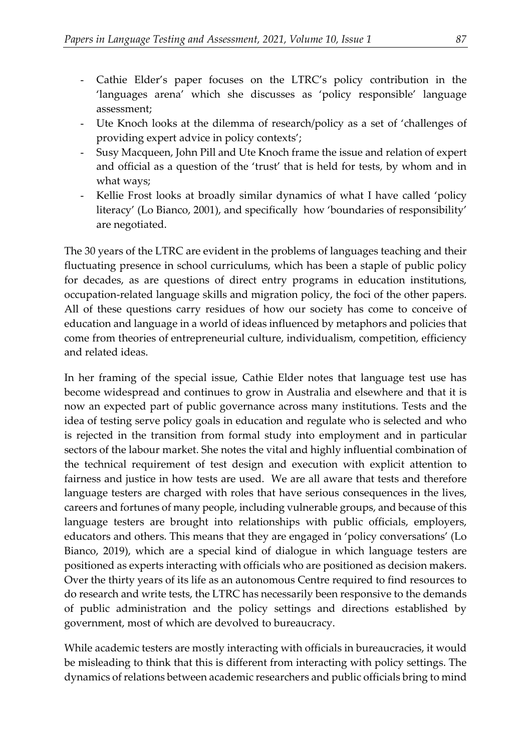- Cathie Elder's paper focuses on the LTRC's policy contribution in the 'languages arena' which she discusses as 'policy responsible' language assessment;
- Ute Knoch looks at the dilemma of research/policy as a set of 'challenges of providing expert advice in policy contexts';
- Susy Macqueen, John Pill and Ute Knoch frame the issue and relation of expert and official as a question of the 'trust' that is held for tests, by whom and in what ways;
- Kellie Frost looks at broadly similar dynamics of what I have called 'policy literacy' (Lo Bianco, 2001), and specifically how 'boundaries of responsibility' are negotiated.

The 30 years of the LTRC are evident in the problems of languages teaching and their fluctuating presence in school curriculums, which has been a staple of public policy for decades, as are questions of direct entry programs in education institutions, occupation-related language skills and migration policy, the foci of the other papers. All of these questions carry residues of how our society has come to conceive of education and language in a world of ideas influenced by metaphors and policies that come from theories of entrepreneurial culture, individualism, competition, efficiency and related ideas.

In her framing of the special issue, Cathie Elder notes that language test use has become widespread and continues to grow in Australia and elsewhere and that it is now an expected part of public governance across many institutions. Tests and the idea of testing serve policy goals in education and regulate who is selected and who is rejected in the transition from formal study into employment and in particular sectors of the labour market. She notes the vital and highly influential combination of the technical requirement of test design and execution with explicit attention to fairness and justice in how tests are used. We are all aware that tests and therefore language testers are charged with roles that have serious consequences in the lives, careers and fortunes of many people, including vulnerable groups, and because of this language testers are brought into relationships with public officials, employers, educators and others. This means that they are engaged in 'policy conversations' (Lo Bianco, 2019), which are a special kind of dialogue in which language testers are positioned as experts interacting with officials who are positioned as decision makers. Over the thirty years of its life as an autonomous Centre required to find resources to do research and write tests, the LTRC has necessarily been responsive to the demands of public administration and the policy settings and directions established by government, most of which are devolved to bureaucracy.

While academic testers are mostly interacting with officials in bureaucracies, it would be misleading to think that this is different from interacting with policy settings. The dynamics of relations between academic researchers and public officials bring to mind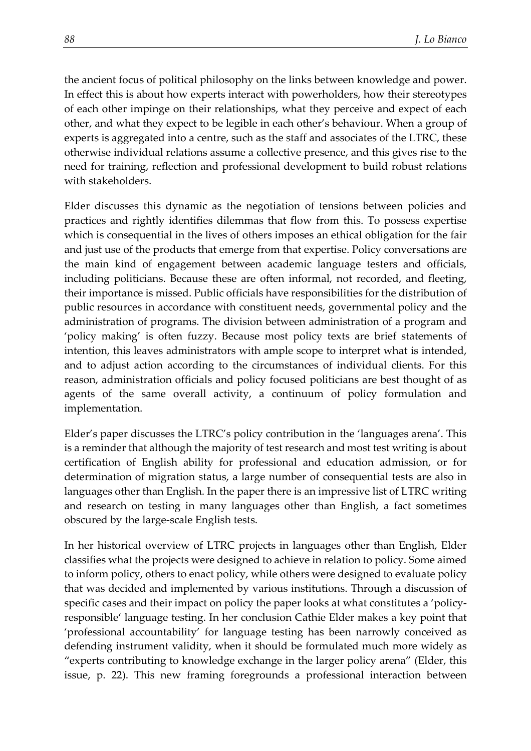the ancient focus of political philosophy on the links between knowledge and power. In effect this is about how experts interact with powerholders, how their stereotypes of each other impinge on their relationships, what they perceive and expect of each other, and what they expect to be legible in each other's behaviour. When a group of experts is aggregated into a centre, such as the staff and associates of the LTRC, these otherwise individual relations assume a collective presence, and this gives rise to the need for training, reflection and professional development to build robust relations with stakeholders.

Elder discusses this dynamic as the negotiation of tensions between policies and practices and rightly identifies dilemmas that flow from this. To possess expertise which is consequential in the lives of others imposes an ethical obligation for the fair and just use of the products that emerge from that expertise. Policy conversations are the main kind of engagement between academic language testers and officials, including politicians. Because these are often informal, not recorded, and fleeting, their importance is missed. Public officials have responsibilities for the distribution of public resources in accordance with constituent needs, governmental policy and the administration of programs. The division between administration of a program and 'policy making' is often fuzzy. Because most policy texts are brief statements of intention, this leaves administrators with ample scope to interpret what is intended, and to adjust action according to the circumstances of individual clients. For this reason, administration officials and policy focused politicians are best thought of as agents of the same overall activity, a continuum of policy formulation and implementation.

Elder's paper discusses the LTRC's policy contribution in the 'languages arena'. This is a reminder that although the majority of test research and most test writing is about certification of English ability for professional and education admission, or for determination of migration status, a large number of consequential tests are also in languages other than English. In the paper there is an impressive list of LTRC writing and research on testing in many languages other than English, a fact sometimes obscured by the large-scale English tests.

In her historical overview of LTRC projects in languages other than English, Elder classifies what the projects were designed to achieve in relation to policy. Some aimed to inform policy, others to enact policy, while others were designed to evaluate policy that was decided and implemented by various institutions. Through a discussion of specific cases and their impact on policy the paper looks at what constitutes a 'policyresponsible' language testing. In her conclusion Cathie Elder makes a key point that 'professional accountability' for language testing has been narrowly conceived as defending instrument validity, when it should be formulated much more widely as "experts contributing to knowledge exchange in the larger policy arena" (Elder, this issue, p. 22). This new framing foregrounds a professional interaction between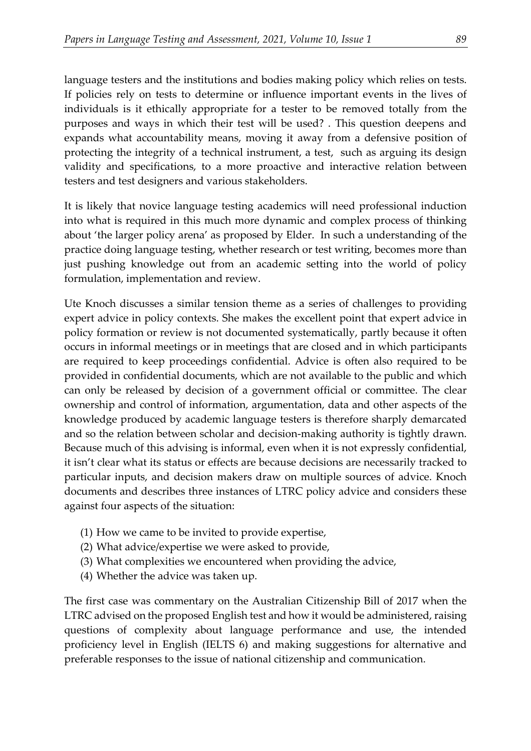language testers and the institutions and bodies making policy which relies on tests. If policies rely on tests to determine or influence important events in the lives of individuals is it ethically appropriate for a tester to be removed totally from the purposes and ways in which their test will be used? . This question deepens and expands what accountability means, moving it away from a defensive position of protecting the integrity of a technical instrument, a test, such as arguing its design validity and specifications, to a more proactive and interactive relation between testers and test designers and various stakeholders.

It is likely that novice language testing academics will need professional induction into what is required in this much more dynamic and complex process of thinking about 'the larger policy arena' as proposed by Elder. In such a understanding of the practice doing language testing, whether research or test writing, becomes more than just pushing knowledge out from an academic setting into the world of policy formulation, implementation and review.

Ute Knoch discusses a similar tension theme as a series of challenges to providing expert advice in policy contexts. She makes the excellent point that expert advice in policy formation or review is not documented systematically, partly because it often occurs in informal meetings or in meetings that are closed and in which participants are required to keep proceedings confidential. Advice is often also required to be provided in confidential documents, which are not available to the public and which can only be released by decision of a government official or committee. The clear ownership and control of information, argumentation, data and other aspects of the knowledge produced by academic language testers is therefore sharply demarcated and so the relation between scholar and decision-making authority is tightly drawn. Because much of this advising is informal, even when it is not expressly confidential, it isn't clear what its status or effects are because decisions are necessarily tracked to particular inputs, and decision makers draw on multiple sources of advice. Knoch documents and describes three instances of LTRC policy advice and considers these against four aspects of the situation:

- (1) How we came to be invited to provide expertise,
- (2) What advice/expertise we were asked to provide,
- (3) What complexities we encountered when providing the advice,
- (4) Whether the advice was taken up.

The first case was commentary on the Australian Citizenship Bill of 2017 when the LTRC advised on the proposed English test and how it would be administered, raising questions of complexity about language performance and use, the intended proficiency level in English (IELTS 6) and making suggestions for alternative and preferable responses to the issue of national citizenship and communication.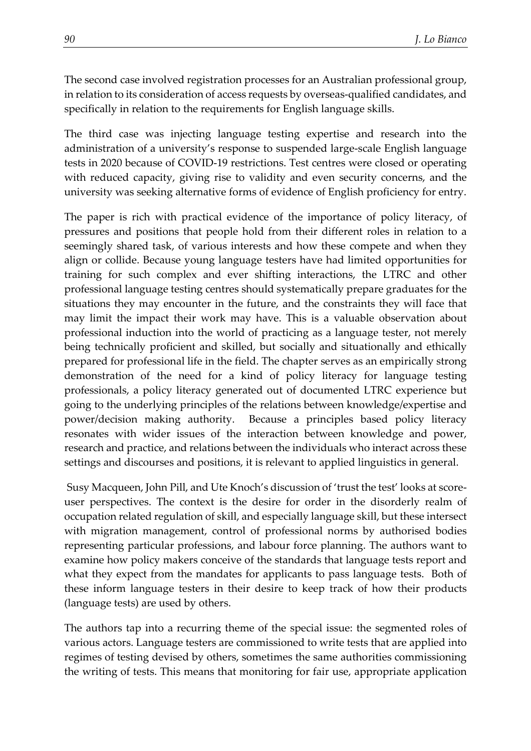The second case involved registration processes for an Australian professional group, in relation to its consideration of access requests by overseas-qualified candidates, and specifically in relation to the requirements for English language skills.

The third case was injecting language testing expertise and research into the administration of a university's response to suspended large-scale English language tests in 2020 because of COVID-19 restrictions. Test centres were closed or operating with reduced capacity, giving rise to validity and even security concerns, and the university was seeking alternative forms of evidence of English proficiency for entry.

The paper is rich with practical evidence of the importance of policy literacy, of pressures and positions that people hold from their different roles in relation to a seemingly shared task, of various interests and how these compete and when they align or collide. Because young language testers have had limited opportunities for training for such complex and ever shifting interactions, the LTRC and other professional language testing centres should systematically prepare graduates for the situations they may encounter in the future, and the constraints they will face that may limit the impact their work may have. This is a valuable observation about professional induction into the world of practicing as a language tester, not merely being technically proficient and skilled, but socially and situationally and ethically prepared for professional life in the field. The chapter serves as an empirically strong demonstration of the need for a kind of policy literacy for language testing professionals, a policy literacy generated out of documented LTRC experience but going to the underlying principles of the relations between knowledge/expertise and power/decision making authority. Because a principles based policy literacy resonates with wider issues of the interaction between knowledge and power, research and practice, and relations between the individuals who interact across these settings and discourses and positions, it is relevant to applied linguistics in general.

Susy Macqueen, John Pill, and Ute Knoch's discussion of 'trust the test' looks at scoreuser perspectives. The context is the desire for order in the disorderly realm of occupation related regulation of skill, and especially language skill, but these intersect with migration management, control of professional norms by authorised bodies representing particular professions, and labour force planning. The authors want to examine how policy makers conceive of the standards that language tests report and what they expect from the mandates for applicants to pass language tests. Both of these inform language testers in their desire to keep track of how their products (language tests) are used by others.

The authors tap into a recurring theme of the special issue: the segmented roles of various actors. Language testers are commissioned to write tests that are applied into regimes of testing devised by others, sometimes the same authorities commissioning the writing of tests. This means that monitoring for fair use, appropriate application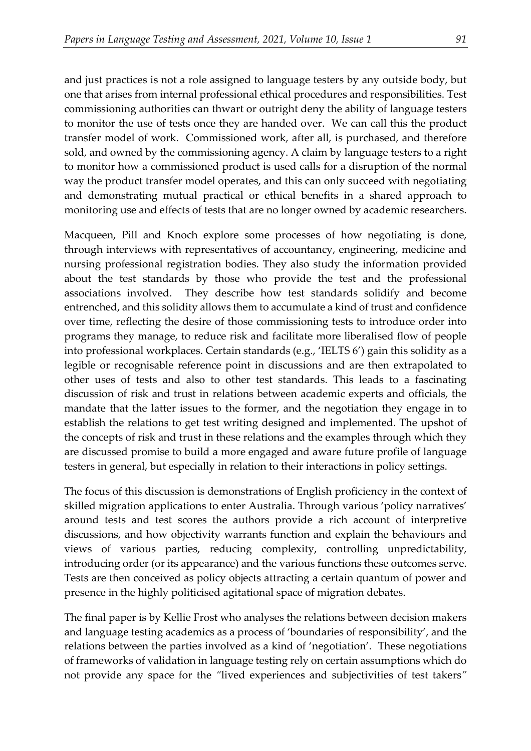and just practices is not a role assigned to language testers by any outside body, but one that arises from internal professional ethical procedures and responsibilities. Test commissioning authorities can thwart or outright deny the ability of language testers to monitor the use of tests once they are handed over. We can call this the product transfer model of work. Commissioned work, after all, is purchased, and therefore sold, and owned by the commissioning agency. A claim by language testers to a right to monitor how a commissioned product is used calls for a disruption of the normal way the product transfer model operates, and this can only succeed with negotiating and demonstrating mutual practical or ethical benefits in a shared approach to monitoring use and effects of tests that are no longer owned by academic researchers.

Macqueen, Pill and Knoch explore some processes of how negotiating is done, through interviews with representatives of accountancy, engineering, medicine and nursing professional registration bodies. They also study the information provided about the test standards by those who provide the test and the professional associations involved. They describe how test standards solidify and become entrenched, and this solidity allows them to accumulate a kind of trust and confidence over time, reflecting the desire of those commissioning tests to introduce order into programs they manage, to reduce risk and facilitate more liberalised flow of people into professional workplaces. Certain standards (e.g., 'IELTS 6') gain this solidity as a legible or recognisable reference point in discussions and are then extrapolated to other uses of tests and also to other test standards. This leads to a fascinating discussion of risk and trust in relations between academic experts and officials, the mandate that the latter issues to the former, and the negotiation they engage in to establish the relations to get test writing designed and implemented. The upshot of the concepts of risk and trust in these relations and the examples through which they are discussed promise to build a more engaged and aware future profile of language testers in general, but especially in relation to their interactions in policy settings.

The focus of this discussion is demonstrations of English proficiency in the context of skilled migration applications to enter Australia. Through various 'policy narratives' around tests and test scores the authors provide a rich account of interpretive discussions, and how objectivity warrants function and explain the behaviours and views of various parties, reducing complexity, controlling unpredictability, introducing order (or its appearance) and the various functions these outcomes serve. Tests are then conceived as policy objects attracting a certain quantum of power and presence in the highly politicised agitational space of migration debates.

The final paper is by Kellie Frost who analyses the relations between decision makers and language testing academics as a process of 'boundaries of responsibility', and the relations between the parties involved as a kind of 'negotiation'. These negotiations of frameworks of validation in language testing rely on certain assumptions which do not provide any space for the *"*lived experiences and subjectivities of test takers*"*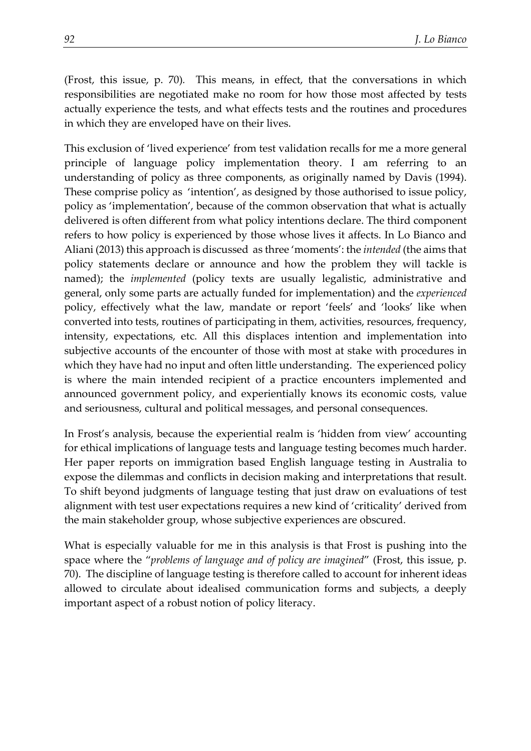(Frost, this issue, p. 70)*.* This means, in effect, that the conversations in which responsibilities are negotiated make no room for how those most affected by tests actually experience the tests, and what effects tests and the routines and procedures in which they are enveloped have on their lives.

This exclusion of 'lived experience' from test validation recalls for me a more general principle of language policy implementation theory. I am referring to an understanding of policy as three components, as originally named by Davis (1994). These comprise policy as 'intention', as designed by those authorised to issue policy, policy as 'implementation', because of the common observation that what is actually delivered is often different from what policy intentions declare. The third component refers to how policy is experienced by those whose lives it affects. In Lo Bianco and Aliani (2013) this approach is discussed as three 'moments': the *intended* (the aims that policy statements declare or announce and how the problem they will tackle is named); the *implemented* (policy texts are usually legalistic, administrative and general, only some parts are actually funded for implementation) and the *experienced* policy, effectively what the law, mandate or report 'feels' and 'looks' like when converted into tests, routines of participating in them, activities, resources, frequency, intensity, expectations, etc. All this displaces intention and implementation into subjective accounts of the encounter of those with most at stake with procedures in which they have had no input and often little understanding. The experienced policy is where the main intended recipient of a practice encounters implemented and announced government policy, and experientially knows its economic costs, value and seriousness, cultural and political messages, and personal consequences.

In Frost's analysis, because the experiential realm is 'hidden from view' accounting for ethical implications of language tests and language testing becomes much harder. Her paper reports on immigration based English language testing in Australia to expose the dilemmas and conflicts in decision making and interpretations that result. To shift beyond judgments of language testing that just draw on evaluations of test alignment with test user expectations requires a new kind of 'criticality' derived from the main stakeholder group, whose subjective experiences are obscured.

What is especially valuable for me in this analysis is that Frost is pushing into the space where the "*problems of language and of policy are imagined*" (Frost, this issue, p. 70). The discipline of language testing is therefore called to account for inherent ideas allowed to circulate about idealised communication forms and subjects, a deeply important aspect of a robust notion of policy literacy.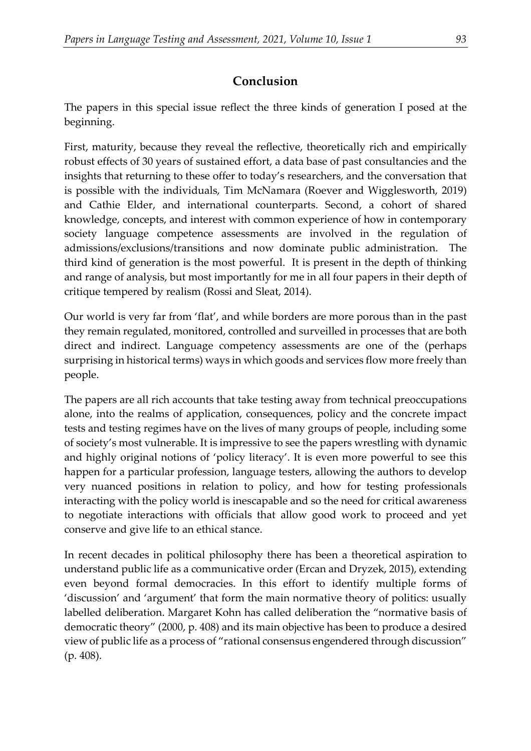# **Conclusion**

The papers in this special issue reflect the three kinds of generation I posed at the beginning.

First, maturity, because they reveal the reflective, theoretically rich and empirically robust effects of 30 years of sustained effort, a data base of past consultancies and the insights that returning to these offer to today's researchers, and the conversation that is possible with the individuals, Tim McNamara (Roever and Wigglesworth, 2019) and Cathie Elder, and international counterparts. Second, a cohort of shared knowledge, concepts, and interest with common experience of how in contemporary society language competence assessments are involved in the regulation of admissions/exclusions/transitions and now dominate public administration. The third kind of generation is the most powerful. It is present in the depth of thinking and range of analysis, but most importantly for me in all four papers in their depth of critique tempered by realism (Rossi and Sleat, 2014).

Our world is very far from 'flat', and while borders are more porous than in the past they remain regulated, monitored, controlled and surveilled in processes that are both direct and indirect. Language competency assessments are one of the (perhaps surprising in historical terms) ways in which goods and services flow more freely than people.

The papers are all rich accounts that take testing away from technical preoccupations alone, into the realms of application, consequences, policy and the concrete impact tests and testing regimes have on the lives of many groups of people, including some of society's most vulnerable. It is impressive to see the papers wrestling with dynamic and highly original notions of 'policy literacy'. It is even more powerful to see this happen for a particular profession, language testers, allowing the authors to develop very nuanced positions in relation to policy, and how for testing professionals interacting with the policy world is inescapable and so the need for critical awareness to negotiate interactions with officials that allow good work to proceed and yet conserve and give life to an ethical stance.

In recent decades in political philosophy there has been a theoretical aspiration to understand public life as a communicative order (Ercan and Dryzek, 2015), extending even beyond formal democracies. In this effort to identify multiple forms of 'discussion' and 'argument' that form the main normative theory of politics: usually labelled deliberation. Margaret Kohn has called deliberation the "normative basis of democratic theory" (2000, p. 408) and its main objective has been to produce a desired view of public life as a process of "rational consensus engendered through discussion" (p. 408).